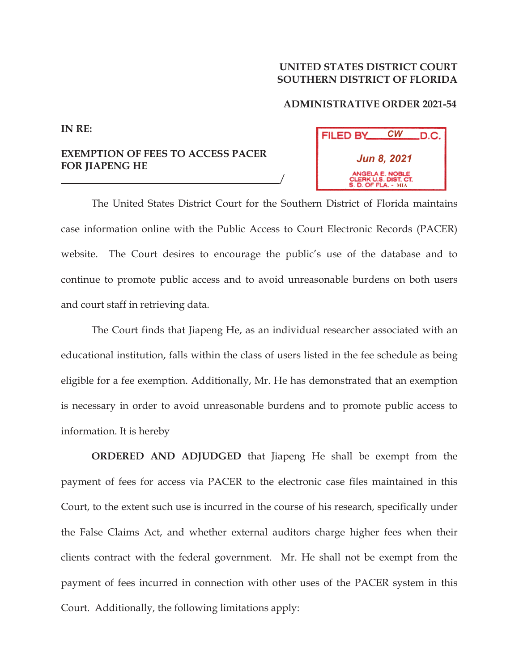## **UNITED STATES DISTRICT COURT SOUTHERN DISTRICT OF FLORIDA**

## **ADMINISTRATIVE ORDER 2021-54**

## *CW* FILED BY D.C. *Jun 8, 2021* **MIA**

**EXEMPTION OF FEES TO ACCESS PACER FOR JIAPENG HE** 

**IN RE:**

The United States District Court for the Southern District of Florida maintains case information online with the Public Access to Court Electronic Records (PACER) website. The Court desires to encourage the public's use of the database and to continue to promote public access and to avoid unreasonable burdens on both users and court staff in retrieving data.

 $\overline{\phantom{a}}$ 

The Court finds that Jiapeng He, as an individual researcher associated with an educational institution, falls within the class of users listed in the fee schedule as being eligible for a fee exemption. Additionally, Mr. He has demonstrated that an exemption is necessary in order to avoid unreasonable burdens and to promote public access to information. It is hereby

**ORDERED AND ADJUDGED** that Jiapeng He shall be exempt from the payment of fees for access via PACER to the electronic case files maintained in this Court, to the extent such use is incurred in the course of his research, specifically under the False Claims Act, and whether external auditors charge higher fees when their clients contract with the federal government. Mr. He shall not be exempt from the payment of fees incurred in connection with other uses of the PACER system in this Court. Additionally, the following limitations apply: